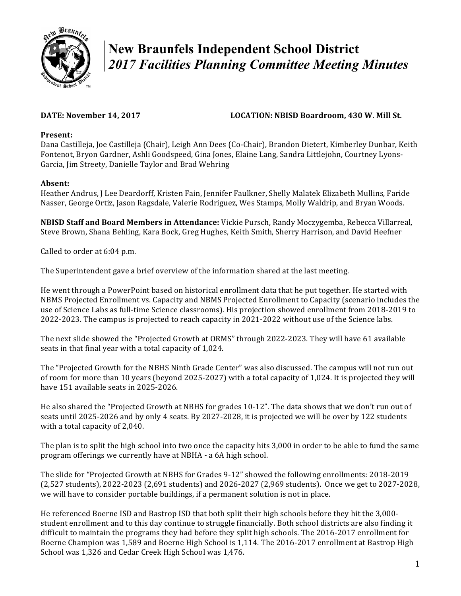

# **New Braunfels Independent School District**  *2017 Facilities Planning Committee Meeting Minutes*

## DATE: November 14, 2017 **LOCATION: NBISD Boardroom, 430 W. Mill St.**

#### Present:

Dana Castilleja, Joe Castilleja (Chair), Leigh Ann Dees (Co-Chair), Brandon Dietert, Kimberley Dunbar, Keith Fontenot, Bryon Gardner, Ashli Goodspeed, Gina Jones, Elaine Lang, Sandra Littlejohn, Courtney Lyons-Garcia, Jim Streety, Danielle Taylor and Brad Wehring

### **Absent:**

Heather Andrus, J Lee Deardorff, Kristen Fain, Jennifer Faulkner, Shelly Malatek Elizabeth Mullins, Faride Nasser, George Ortiz, Jason Ragsdale, Valerie Rodriguez, Wes Stamps, Molly Waldrip, and Bryan Woods.

**NBISD Staff and Board Members in Attendance:** Vickie Pursch, Randy Moczygemba, Rebecca Villarreal, Steve Brown, Shana Behling, Kara Bock, Greg Hughes, Keith Smith, Sherry Harrison, and David Heefner

Called to order at 6:04 p.m.

The Superintendent gave a brief overview of the information shared at the last meeting.

He went through a PowerPoint based on historical enrollment data that he put together. He started with NBMS Projected Enrollment vs. Capacity and NBMS Projected Enrollment to Capacity (scenario includes the use of Science Labs as full-time Science classrooms). His projection showed enrollment from 2018-2019 to 2022-2023. The campus is projected to reach capacity in 2021-2022 without use of the Science labs.

The next slide showed the "Projected Growth at ORMS" through 2022-2023. They will have 61 available seats in that final year with a total capacity of 1,024.

The "Projected Growth for the NBHS Ninth Grade Center" was also discussed. The campus will not run out of room for more than 10 years (beyond 2025-2027) with a total capacity of 1,024. It is projected they will have 151 available seats in 2025-2026.

He also shared the "Projected Growth at NBHS for grades 10-12". The data shows that we don't run out of seats until 2025-2026 and by only 4 seats. By 2027-2028, it is projected we will be over by 122 students with a total capacity of 2,040.

The plan is to split the high school into two once the capacity hits 3,000 in order to be able to fund the same program offerings we currently have at NBHA - a 6A high school.

The slide for "Projected Growth at NBHS for Grades 9-12" showed the following enrollments: 2018-2019 (2,527 students), 2022-2023 (2,691 students) and 2026-2027 (2,969 students). Once we get to 2027-2028, we will have to consider portable buildings, if a permanent solution is not in place.

He referenced Boerne ISD and Bastrop ISD that both split their high schools before they hit the 3,000student enrollment and to this day continue to struggle financially. Both school districts are also finding it difficult to maintain the programs they had before they split high schools. The 2016-2017 enrollment for Boerne Champion was 1,589 and Boerne High School is 1,114. The 2016-2017 enrollment at Bastrop High School was 1,326 and Cedar Creek High School was 1,476.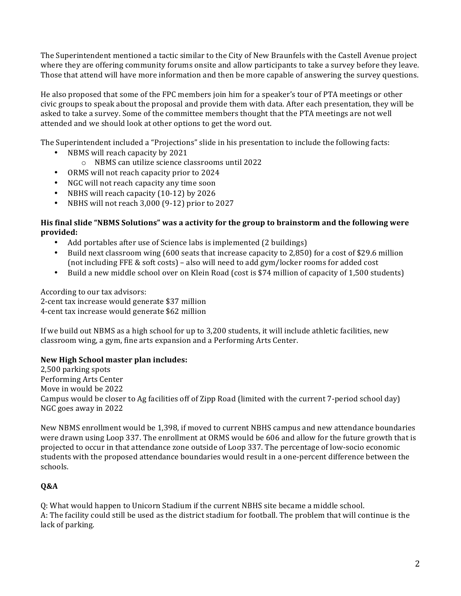The Superintendent mentioned a tactic similar to the City of New Braunfels with the Castell Avenue project where they are offering community forums onsite and allow participants to take a survey before they leave. Those that attend will have more information and then be more capable of answering the survey questions.

He also proposed that some of the FPC members join him for a speaker's tour of PTA meetings or other civic groups to speak about the proposal and provide them with data. After each presentation, they will be asked to take a survey. Some of the committee members thought that the PTA meetings are not well attended and we should look at other options to get the word out.

The Superintendent included a "Projections" slide in his presentation to include the following facts:

- NBMS will reach capacity by 2021
	- $\circ$  NBMS can utilize science classrooms until 2022
- ORMS will not reach capacity prior to 2024
- NGC will not reach capacity any time soon
- NBHS will reach capacity  $(10-12)$  by 2026
- NBHS will not reach  $3,000$  (9-12) prior to  $2027$

### His final slide "NBMS Solutions" was a activity for the group to brainstorm and the following were **provided:**

- Add portables after use of Science labs is implemented (2 buildings)
- Build next classroom wing  $(600 \text{ seats that increase capacity to } 2,850)$  for a cost of \$29.6 million (not including  $\text{FFE}$  & soft costs) – also will need to add gym/locker rooms for added cost
- Build a new middle school over on Klein Road (cost is \$74 million of capacity of 1,500 students)

According to our tax advisors:

2-cent tax increase would generate \$37 million 4-cent tax increase would generate \$62 million

If we build out NBMS as a high school for up to 3,200 students, it will include athletic facilities, new classroom wing, a gym, fine arts expansion and a Performing Arts Center.

# **New High School master plan includes:**

2,500 parking spots Performing Arts Center Move in would be 2022 Campus would be closer to Ag facilities off of Zipp Road (limited with the current 7-period school day) NGC goes away in 2022

New NBMS enrollment would be 1,398, if moved to current NBHS campus and new attendance boundaries were drawn using Loop 337. The enrollment at ORMS would be 606 and allow for the future growth that is projected to occur in that attendance zone outside of Loop 337. The percentage of low-socio economic students with the proposed attendance boundaries would result in a one-percent difference between the schools. 

# **Q&A**

Q: What would happen to Unicorn Stadium if the current NBHS site became a middle school. A: The facility could still be used as the district stadium for football. The problem that will continue is the lack of parking.